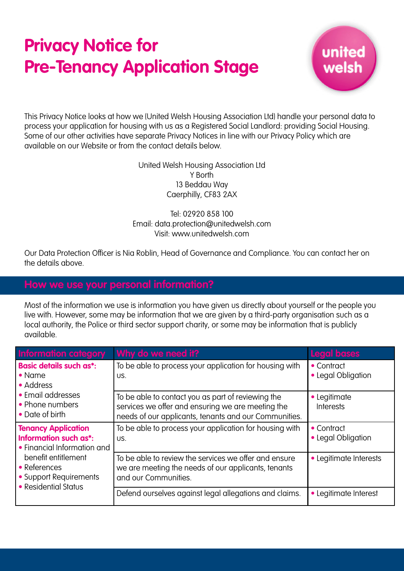# **Privacy Notice for Pre-Tenancy Application Stage**



This Privacy Notice looks at how we (United Welsh Housing Association Ltd) handle your personal data to process your application for housing with us as a Registered Social Landlord: providing Social Housing. Some of our other activities have separate Privacy Notices in line with our Privacy Policy which are available on our Website or from the contact details below.

> United Welsh Housing Association Ltd Y Borth 13 Beddau Way Caerphilly, CF83 2AX

## Tel: 02920 858 100 Email: data.protection@unitedwelsh.com Visit: www.unitedwelsh.com

Our Data Protection Officer is Nia Roblin, Head of Governance and Compliance. You can contact her on the details above.

Most of the information we use is information you have given us directly about yourself or the people you live with. However, some may be information that we are given by a third-party organisation such as a local authority, the Police or third sector support charity, or some may be information that is publicly available.

| <b>Information category</b>                                                                                                                                                 | Why do we need it?                                                                                                                                               | <b>Legal bases</b>               |
|-----------------------------------------------------------------------------------------------------------------------------------------------------------------------------|------------------------------------------------------------------------------------------------------------------------------------------------------------------|----------------------------------|
| <b>Basic details such as*:</b><br>$\bullet$ Name<br>• Address<br>• Email addresses<br>• Phone numbers<br>• Date of birth                                                    | To be able to process your application for housing with<br>US.                                                                                                   | • Contract<br>• Legal Obligation |
|                                                                                                                                                                             | To be able to contact you as part of reviewing the<br>services we offer and ensuring we are meeting the<br>needs of our applicants, tenants and our Communities. | • Legitimate<br><b>Interests</b> |
| <b>Tenancy Application</b><br>Information such as*:<br>• Financial Information and<br>benefit entitlement<br>• References<br>• Support Requirements<br>• Residential Status | To be able to process your application for housing with<br>US.                                                                                                   | • Contract<br>• Legal Obligation |
|                                                                                                                                                                             | To be able to review the services we offer and ensure<br>we are meeting the needs of our applicants, tenants<br>and our Communities.                             | • Legitimate Interests           |
|                                                                                                                                                                             | Defend ourselves against legal allegations and claims.                                                                                                           | • Legitimate Interest            |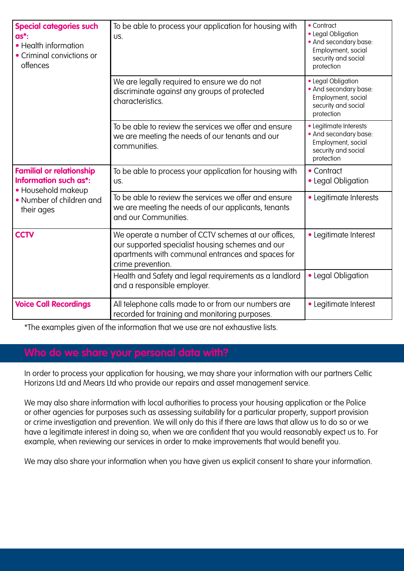| <b>Special categories such</b><br>$as*$ :<br>• Health information<br>• Criminal convictions or<br>offences               | To be able to process your application for housing with<br>US.                                                                                                                    | • Contract<br>• Legal Obligation<br>• And secondary base:<br>Employment, social<br>security and social<br>protection |
|--------------------------------------------------------------------------------------------------------------------------|-----------------------------------------------------------------------------------------------------------------------------------------------------------------------------------|----------------------------------------------------------------------------------------------------------------------|
|                                                                                                                          | We are legally required to ensure we do not<br>discriminate against any groups of protected<br>characteristics.                                                                   | • Legal Obligation<br>• And secondary base:<br>Employment, social<br>security and social<br>protection               |
|                                                                                                                          | To be able to review the services we offer and ensure<br>we are meeting the needs of our tenants and our<br>communities.                                                          | • Legitimate Interests<br>• And secondary base:<br>Employment, social<br>security and social<br>protection           |
| <b>Familial or relationship</b><br>Information such as*:<br>• Household makeup<br>• Number of children and<br>their ages | To be able to process your application for housing with<br>US.                                                                                                                    | • Contract<br>• Legal Obligation                                                                                     |
|                                                                                                                          | To be able to review the services we offer and ensure<br>we are meeting the needs of our applicants, tenants<br>and our Communities.                                              | · Legitimate Interests                                                                                               |
| <b>CCTV</b>                                                                                                              | We operate a number of CCTV schemes at our offices,<br>our supported specialist housing schemes and our<br>apartments with communal entrances and spaces for<br>crime prevention. | • Legitimate Interest                                                                                                |
|                                                                                                                          | Health and Safety and legal requirements as a landlord<br>and a responsible employer.                                                                                             | • Legal Obligation                                                                                                   |
| <b>Voice Call Recordings</b>                                                                                             | All telephone calls made to or from our numbers are<br>recorded for training and monitoring purposes.                                                                             | • Legitimate Interest                                                                                                |

\*The examples given of the information that we use are not exhaustive lists.

In order to process your application for housing, we may share your information with our partners Celtic Horizons Ltd and Mears Ltd who provide our repairs and asset management service.

We may also share information with local authorities to process your housing application or the Police or other agencies for purposes such as assessing suitability for a particular property, support provision or crime investigation and prevention. We will only do this if there are laws that allow us to do so or we have a legitimate interest in doing so, when we are confident that you would reasonably expect us to. For example, when reviewing our services in order to make improvements that would benefit you.

We may also share your information when you have given us explicit consent to share your information.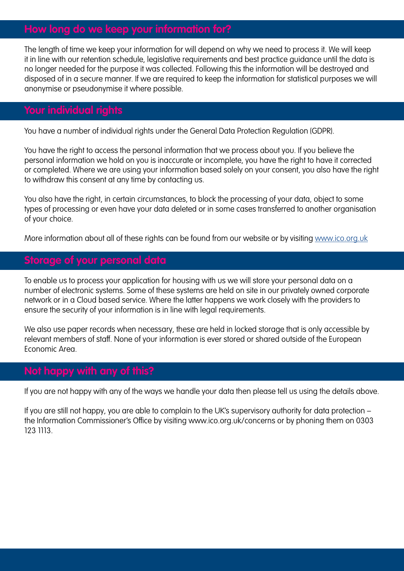# **How long do we keep your information for?**

The length of time we keep your information for will depend on why we need to process it. We will keep it in line with our retention schedule, legislative requirements and best practice guidance until the data is no longer needed for the purpose it was collected. Following this the information will be destroyed and disposed of in a secure manner. If we are required to keep the information for statistical purposes we will anonymise or pseudonymise it where possible.

# **Your individual rights**

You have a number of individual rights under the General Data Protection Regulation (GDPR).

You have the right to access the personal information that we process about you. If you believe the personal information we hold on you is inaccurate or incomplete, you have the right to have it corrected or completed. Where we are using your information based solely on your consent, you also have the right to withdraw this consent at any time by contacting us.

You also have the right, in certain circumstances, to block the processing of your data, object to some types of processing or even have your data deleted or in some cases transferred to another organisation of your choice.

More information about all of these rights can be found from our website or by visiting [www.ico.org.uk](http://www.ico.org.uk) 

# **Storage of your personal data**

To enable us to process your application for housing with us we will store your personal data on a number of electronic systems. Some of these systems are held on site in our privately owned corporate network or in a Cloud based service. Where the latter happens we work closely with the providers to ensure the security of your information is in line with legal requirements.

We also use paper records when necessary, these are held in locked storage that is only accessible by relevant members of staff. None of your information is ever stored or shared outside of the European Economic Area.

# **Not happy with any of this?**

If you are not happy with any of the ways we handle your data then please tell us using the details above.

If you are still not happy, you are able to complain to the UK's supervisory authority for data protection – the Information Commissioner's Office by visiting www.ico.org.uk/concerns or by phoning them on 0303 123 1113.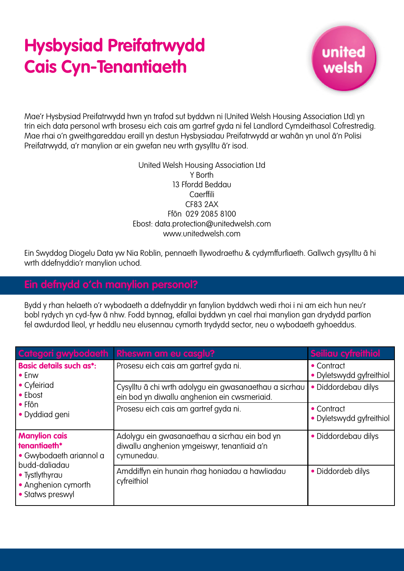# **Hysbysiad Preifatrwydd Cais Cyn-Tenantiaeth**



Mae'r Hysbysiad Preifatrwydd hwn yn trafod sut byddwn ni (United Welsh Housing Association Ltd) yn trin eich data personol wrth brosesu eich cais am gartref gyda ni fel Landlord Cymdeithasol Cofrestredig. Mae rhai o'n gweithgareddau eraill yn destun Hysbysiadau Preifatrwydd ar wahân yn unol â'n Polisi Preifatrwydd, a'r manylion ar ein gwefan neu wrth gysylltu â'r isod.

### United Welsh Housing Association Ltd Y Borth 13 Ffordd Beddau **Caerffili** CF83 2AX Ffôn 029 2085 8100 Ebost: data.protection@unitedwelsh.com www.unitedwelsh.com

Ein Swyddog Diogelu Data yw Nia Roblin, pennaeth llywodraethu & cydymffurfiaeth. Gallwch gysylltu â hi wrth ddefnyddio'r manylion uchod.

## **Ein defnydd o'ch manylion personol?**

Bydd y rhan helaeth o'r wybodaeth a ddefnyddir yn fanylion byddwch wedi rhoi i ni am eich hun neu'r bobl rydych yn cyd-fyw â nhw. Fodd bynnag, efallai byddwn yn cael rhai manylion gan drydydd partïon fel awdurdod lleol, yr heddlu neu elusennau cymorth trydydd sector, neu o wybodaeth gyhoeddus.

|                                                                                                                                               | Categori gwybodaeth Rheswm am eu casglu?                                                                   | Seiliau cyfreithiol                            |
|-----------------------------------------------------------------------------------------------------------------------------------------------|------------------------------------------------------------------------------------------------------------|------------------------------------------------|
| <b>Basic details such as*:</b><br>$\bullet$ Enw<br>• Cyfeiriad<br>• Ebost<br>$\bullet$ Ffôn<br>• Dyddiad geni                                 | Prosesu eich cais am gartref gyda ni.                                                                      | • Contract<br>• Dyletswydd gyfreithiol         |
|                                                                                                                                               | Cysylltu â chi wrth adolygu ein gwasanaethau a sicrhau<br>ein bod yn diwallu anghenion ein cwsmeriaid.     | · Diddordebau dilys                            |
|                                                                                                                                               | Prosesu eich cais am gartref gyda ni.                                                                      | $\bullet$ Contract<br>• Dyletswydd gyfreithiol |
| <b>Manylion cais</b><br>tenantiaeth*<br>• Gwybodaeth ariannol a<br>budd-daliadau<br>• Tystlythyrau<br>• Anghenion cymorth<br>• Statws preswyl | Adolygu ein gwasanaethau a sicrhau ein bod yn<br>diwallu anghenion ymgeiswyr, tenantiaid a'n<br>cymunedau. | · Diddordebau dilys                            |
|                                                                                                                                               | Amddiffyn ein hunain rhag honiadau a hawliadau<br>cyfreithiol                                              | • Diddordeb dilys                              |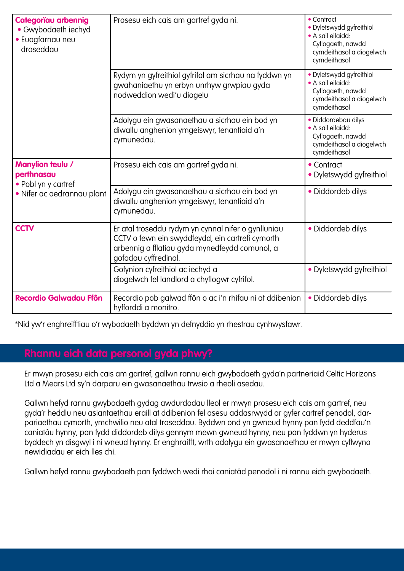| <b>Categoriau arbennig</b><br>• Gwybodaeth iechyd<br>• Euogfarnau neu<br>droseddau  | Prosesu eich cais am gartref gyda ni.                                                                                                                                             | • Contract<br>· Dyletswydd gyfreithiol<br>• A sail eilaidd:<br>Cyflogaeth, nawdd<br>cymdeithasol a diogelwch<br>cymdeithasol |
|-------------------------------------------------------------------------------------|-----------------------------------------------------------------------------------------------------------------------------------------------------------------------------------|------------------------------------------------------------------------------------------------------------------------------|
|                                                                                     | Rydym yn gyfreithiol gyfrifol am sicrhau na fyddwn yn<br>gwahaniaethu yn erbyn unrhyw grwpiau gyda<br>nodweddion wedi'u diogelu                                                   | · Dyletswydd gyfreithiol<br>• A sail eilaidd:<br>Cyflogaeth, nawdd<br>cymdeithasol a diogelwch<br>cymdeithasol               |
|                                                                                     | Adolygu ein gwasanaethau a sicrhau ein bod yn<br>diwallu anghenion ymgeiswyr, tenantiaid a'n<br>cymunedau.                                                                        | · Diddordebau dilys<br>• A sail eilaidd:<br>Cyflogaeth, nawdd<br>cymdeithasol a diogelwch<br>cymdeithasol                    |
| Manylion teulu /<br>perthnasau<br>• Pobl yn y cartref<br>· Nifer ac oedrannau plant | Prosesu eich cais am gartref gyda ni.                                                                                                                                             | • Contract<br>• Dyletswydd gyfreithiol                                                                                       |
|                                                                                     | Adolygu ein gwasanaethau a sicrhau ein bod yn<br>diwallu anghenion ymgeiswyr, tenantiaid a'n<br>cymunedau.                                                                        | · Diddordeb dilys                                                                                                            |
| <b>CCTV</b>                                                                         | Er atal troseddu rydym yn cynnal nifer o gynlluniau<br>CCTV o fewn ein swyddfeydd, ein cartrefi cymorth<br>arbennig a fflatiau gyda mynedfeydd comunol, a<br>gofodau cyffredinol. | • Diddordeb dilys                                                                                                            |
|                                                                                     | Gofynion cyfreithiol ac iechyd a<br>diogelwch fel landlord a chyflogwr cyfrifol.                                                                                                  | · Dyletswydd gyfreithiol                                                                                                     |
| <b>Recordio Galwadau Ffôn</b>                                                       | Recordio pob galwad ffôn o ac i'n rhifau ni at ddibenion<br>hyfforddi a monitro.                                                                                                  | · Diddordeb dilys                                                                                                            |

\*Nid yw'r enghreifftiau o'r wybodaeth byddwn yn defnyddio yn rhestrau cynhwysfawr.

# **Rhannu eich data personol gyda phwy?**

Er mwyn prosesu eich cais am gartref, gallwn rannu eich gwybodaeth gyda'n partneriaid Celtic Horizons Ltd a Mears Ltd sy'n darparu ein gwasanaethau trwsio a rheoli asedau.

Gallwn hefyd rannu gwybodaeth gydag awdurdodau lleol er mwyn prosesu eich cais am gartref, neu gyda'r heddlu neu asiantaethau eraill at ddibenion fel asesu addasrwydd ar gyfer cartref penodol, darpariaethau cymorth, ymchwilio neu atal troseddau. Byddwn ond yn gwneud hynny pan fydd deddfau'n caniatáu hynny, pan fydd diddordeb dilys gennym mewn gwneud hynny, neu pan fyddwn yn hyderus byddech yn disgwyl i ni wneud hynny. Er enghraifft, wrth adolygu ein gwasanaethau er mwyn cyflwyno newidiadau er eich lles chi.

Gallwn hefyd rannu gwybodaeth pan fyddwch wedi rhoi caniatâd penodol i ni rannu eich gwybodaeth.